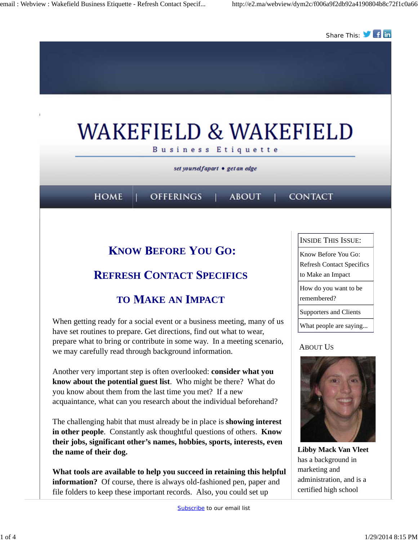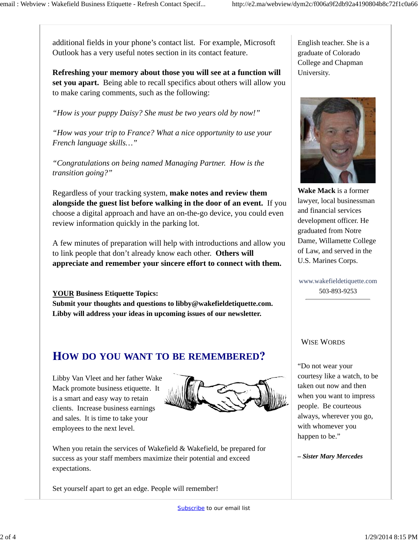additional fields in your phone's contact list. For example, Microsoft Outlook has a very useful notes section in its contact feature.

**Refreshing your memory about those you will see at a function will set you apart.** Being able to recall specifics about others will allow you to make caring comments, such as the following:

*"How is your puppy Daisy? She must be two years old by now!"*

*"How was your trip to France? What a nice opportunity to use your French language skills…"*

*"Congratulations on being named Managing Partner. How is the transition going?"*

Regardless of your tracking system, **make notes and review them alongside the guest list before walking in the door of an event.** If you choose a digital approach and have an on-the-go device, you could even review information quickly in the parking lot.

A few minutes of preparation will help with introductions and allow you to link people that don't already know each other. **Others will appreciate and remember your sincere effort to connect with them.**

**YOUR Business Etiquette Topics: Submit your thoughts and questions to libby@wakefieldetiquette.com. Libby will address your ideas in upcoming issues of our newsletter.**

### **OW DO YOU WANT TO BE REMEMBERED**

Libby Van Vleet and her father Wake Mack promote business etiquette. It is a smart and easy way to retain clients. Increase business earnings and sales. It is time to take your employees to the next level.



When you retain the services of Wakefield & Wakefield, be prepared for success as your staff members maximize their potential and exceed expectations.

Set yourself apart to get an edge. People will remember!

English teacher. She is a graduate of Colorado College and Chapman University.



**Wake Mack** is a former lawyer, local businessman and financial services development officer. He graduated from Notre Dame, Willamette College of Law, and served in the U.S. Marines Corps.

www.wakefieldetiquette.com 503-893-9253

#### WISE WORDS

"Do not wear your courtesy like a watch, to be taken out now and then when you want to impress people. Be courteous always, wherever you go, with whomever you happen to be."

*– Sister Mary Mercedes*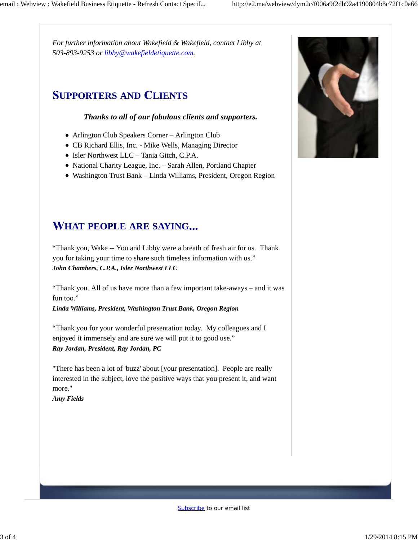*For further information about Wakefield & Wakefield, contact Libby at 503-893-9253 or libby@wakefieldetiquette.com.*

## **UPPORTERS AND LIENTS**

### *Thanks to all of our fabulous clients and supporters.*

- Arlington Club Speakers Corner Arlington Club
- CB Richard Ellis, Inc. Mike Wells, Managing Director
- Isler Northwest LLC Tania Gitch, C.P.A.
- National Charity League, Inc. Sarah Allen, Portland Chapter
- Washington Trust Bank Linda Williams, President, Oregon Region

# **HAT PEOPLE ARE SAYING**

"Thank you, Wake -- You and Libby were a breath of fresh air for us. Thank you for taking your time to share such timeless information with us." *John Chambers, C.P.A., Isler Northwest LLC*

"Thank you. All of us have more than a few important take-aways – and it was fun too."

*Linda Williams, President, Washington Trust Bank, Oregon Region*

"Thank you for your wonderful presentation today. My colleagues and I enjoyed it immensely and are sure we will put it to good use." *Ray Jordan, President, Ray Jordan, PC*

"There has been a lot of 'buzz' about [your presentation]. People are really interested in the subject, love the positive ways that you present it, and want more."

*Amy Fields*